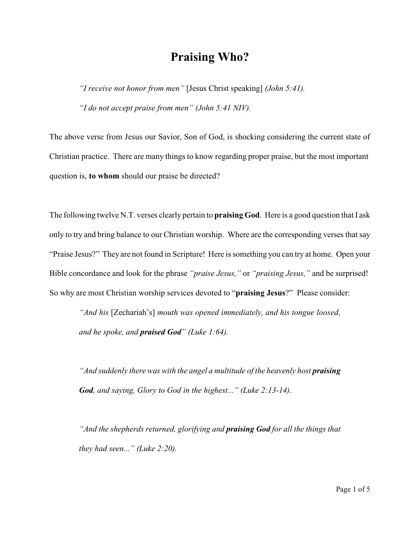## **Praising Who?**

*"I receive not honor from men"* [Jesus Christ speaking] *(John 5:41). "I do not accept praise from men" (John 5:41 NIV).*

The above verse from Jesus our Savior, Son of God, is shocking considering the current state of Christian practice. There are many things to know regarding proper praise, but the most important question is, **to whom** should our praise be directed?

The following twelve N.T. verses clearly pertain to **praising God**. Here is a good question that I ask only to try and bring balance to our Christian worship. Where are the corresponding verses that say "Praise Jesus?" They are not found in Scripture! Here is something you can try at home. Open your Bible concordance and look for the phrase *"praise Jesus,"* or *"praising Jesus,"* and be surprised! So why are most Christian worship services devoted to "**praising Jesus**?" Please consider:

*"And his* [Zechariah's] *mouth was opened immediately, and his tongue loosed, and he spoke, and praised God" (Luke 1:64).*

*And suddenly there was with the angel a multitude of the heavenly host praising God, and saying, Glory to God in the highest..." (Luke 2:13-14).*

*"And the shepherds returned, glorifying and praising God for all the things that they had seen..." (Luke 2:20).*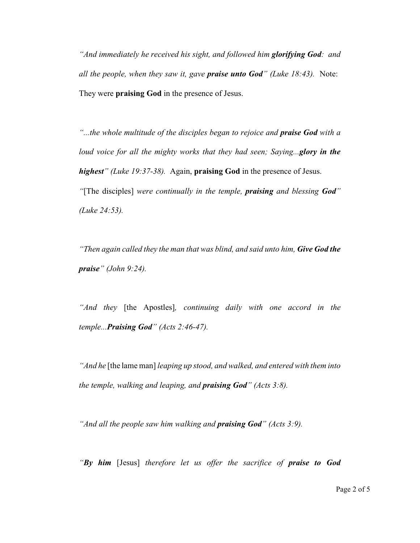*"And immediately he received his sight, and followed him glorifying God: and all the people, when they saw it, gave praise unto God" (Luke 18:43).* Note: They were **praising God** in the presence of Jesus.

*"...the whole multitude of the disciples began to rejoice and praise God with a loud voice for all the mighty works that they had seen; Saying...glory in the highest" (Luke 19:37-38).* Again, **praising God** in the presence of Jesus. *"*[The disciples] *were continually in the temple, praising and blessing God" (Luke 24:53).*

*"Then again called they the man that was blind, and said unto him, Give God the praise" (John 9:24).*

*"And they* [the Apostles]*, continuing daily with one accord in the temple...Praising God" (Acts 2:46-47).*

*"And he* [the lame man] *leaping up stood, and walked, and entered with them into the temple, walking and leaping, and praising God" (Acts 3:8).*

*"And all the people saw him walking and praising God" (Acts 3:9).*

*"By him* [Jesus] *therefore let us offer the sacrifice of praise to God*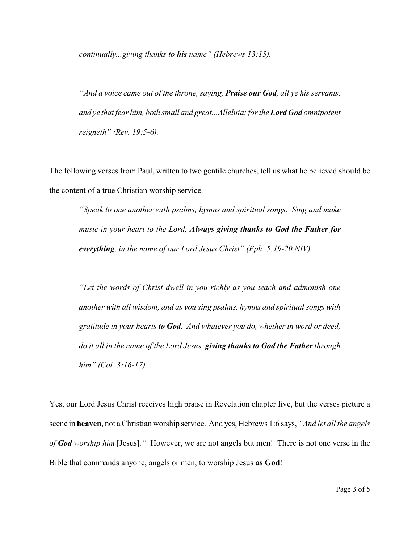*continually...giving thanks to his name" (Hebrews 13:15).*

*"And a voice came out of the throne, saying, Praise our God, all ye his servants, and ye that fear him, both small and great...Alleluia: for the Lord God omnipotent reigneth" (Rev. 19:5-6).*

The following verses from Paul, written to two gentile churches, tell us what he believed should be the content of a true Christian worship service.

*"Speak to one another with psalms, hymns and spiritual songs. Sing and make music in your heart to the Lord, Always giving thanks to God the Father for everything, in the name of our Lord Jesus Christ" (Eph. 5:19-20 NIV).*

*"Let the words of Christ dwell in you richly as you teach and admonish one another with all wisdom, and as you sing psalms, hymns and spiritual songs with gratitude in your hearts to God. And whatever you do, whether in word or deed, do it all in the name of the Lord Jesus, giving thanks to God the Father through him" (Col. 3:16-17).*

Yes, our Lord Jesus Christ receives high praise in Revelation chapter five, but the verses picture a scene in **heaven**, not a Christian worship service. And yes, Hebrews 1:6 says, *"And let all the angels of God worship him* [Jesus]*."* However, we are not angels but men! There is not one verse in the Bible that commands anyone, angels or men, to worship Jesus **as God**!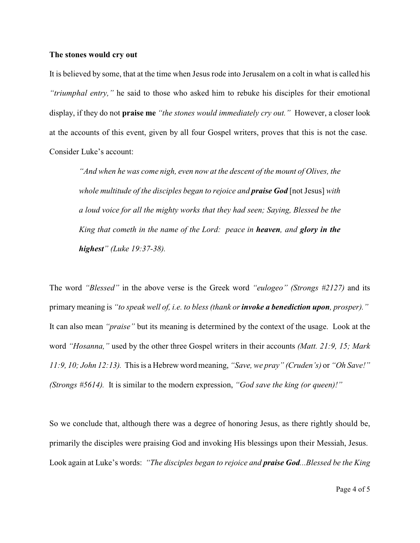## **The stones would cry out**

It is believed by some, that at the time when Jesus rode into Jerusalem on a colt in what is called his *"triumphal entry,"* he said to those who asked him to rebuke his disciples for their emotional display, if they do not **praise me** *"the stones would immediately cry out."* However, a closer look at the accounts of this event, given by all four Gospel writers, proves that this is not the case. Consider Luke's account:

*"And when he was come nigh, even now at the descent of the mount of Olives, the whole multitude of the disciples began to rejoice and praise God* [not Jesus] *with a loud voice for all the mighty works that they had seen; Saying, Blessed be the King that cometh in the name of the Lord: peace in heaven, and glory in the highest" (Luke 19:37-38).*

The word *"Blessed"* in the above verse is the Greek word *"eulogeo" (Strongs #2127)* and its primary meaning is *"to speak well of, i.e. to bless (thank or invoke a benediction upon, prosper)."* It can also mean *"praise"* but its meaning is determined by the context of the usage. Look at the word *"Hosanna,"* used by the other three Gospel writers in their accounts *(Matt. 21:9, 15; Mark 11:9, 10; John 12:13).* This is a Hebrew word meaning, *"Save, we pray" (Cruden's)* or *"Oh Save!" (Strongs #5614).* It is similar to the modern expression, *"God save the king (or queen)!"*

So we conclude that, although there was a degree of honoring Jesus, as there rightly should be, primarily the disciples were praising God and invoking His blessings upon their Messiah, Jesus. Look again at Luke's words: *"The disciples began to rejoice and praise God...Blessed be the King*